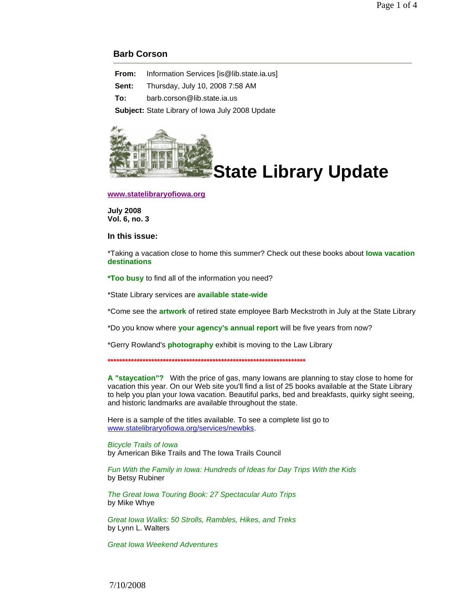## **Barb Corson**

**From:** Information Services [is@lib.state.ia.us]

**Sent:** Thursday, July 10, 2008 7:58 AM

**To:** barb.corson@lib.state.ia.us

**Subject:** State Library of Iowa July 2008 Update



**www.statelibraryofiowa.org**

**July 2008 Vol. 6, no. 3**

**In this issue:**

\*Taking a vacation close to home this summer? Check out these books about **Iowa vacation destinations**

**\*Too busy** to find all of the information you need?

\*State Library services are **available state-wide**

\*Come see the **artwork** of retired state employee Barb Meckstroth in July at the State Library

\*Do you know where **your agency's annual report** will be five years from now?

\*Gerry Rowland's **photography** exhibit is moving to the Law Library

**\*\*\*\*\*\*\*\*\*\*\*\*\*\*\*\*\*\*\*\*\*\*\*\*\*\*\*\*\*\*\*\*\*\*\*\*\*\*\*\*\*\*\*\*\*\*\*\*\*\*\*\*\*\*\*\*\*\*\*\*\*\*\*\*\*\*\*\***

**A "staycation"?** With the price of gas, many Iowans are planning to stay close to home for vacation this year. On our Web site you'll find a list of 25 books available at the State Library to help you plan your Iowa vacation. Beautiful parks, bed and breakfasts, quirky sight seeing, and historic landmarks are available throughout the state.

Here is a sample of the titles available. To see a complete list go to www.statelibraryofiowa.org/services/newbks.

Bicycle Trails of Iowa by American Bike Trails and The Iowa Trails Council

Fun With the Family in Iowa: Hundreds of Ideas for Day Trips With the Kids by Betsy Rubiner

The Great Iowa Touring Book: 27 Spectacular Auto Trips by Mike Whye

Great Iowa Walks: 50 Strolls, Rambles, Hikes, and Treks by Lynn L. Walters

Great Iowa Weekend Adventures

7/10/2008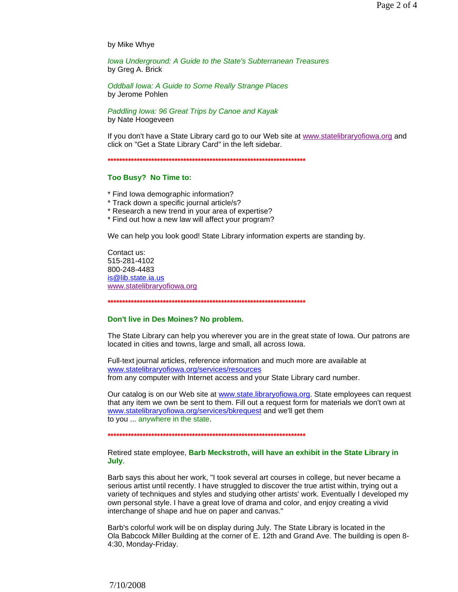by Mike Whye

Iowa Underground: A Guide to the State's Subterranean Treasures by Greg A. Brick

Oddball Iowa: A Guide to Some Really Strange Places by Jerome Pohlen

Paddling Iowa: 96 Great Trips by Canoe and Kayak by Nate Hoogeveen

If you don't have a State Library card go to our Web site at www.statelibraryofiowa.org and click on "Get a State Library Card" in the left sidebar.

## Too Busy? No Time to:

- \* Find lowa demographic information?
- \* Track down a specific journal article/s?
- \* Research a new trend in your area of expertise?
- \* Find out how a new law will affect your program?

We can help you look good! State Library information experts are standing by.

Contact us: 515-281-4102 800-248-4483 is@lib.state.ia.us www.statelibraryofiowa.org

## Don't live in Des Moines? No problem.

The State Library can help you wherever you are in the great state of lowa. Our patrons are located in cities and towns, large and small, all across lowa.

Full-text journal articles, reference information and much more are available at www.statelibraryofiowa.org/services/resources from any computer with Internet access and your State Library card number.

Our catalog is on our Web site at www.state.libraryofiowa.org. State employees can request that any item we own be sent to them. Fill out a request form for materials we don't own at www.statelibraryofiowa.org/services/bkrequest and we'll get them to you ... anywhere in the state.

## Retired state employee, Barb Meckstroth, will have an exhibit in the State Library in July.

Barb says this about her work, "I took several art courses in college, but never became a serious artist until recently. I have struggled to discover the true artist within, trying out a variety of techniques and styles and studying other artists' work. Eventually I developed my own personal style. I have a great love of drama and color, and enjoy creating a vivid interchange of shape and hue on paper and canvas."

Barb's colorful work will be on display during July. The State Library is located in the Ola Babcock Miller Building at the corner of E. 12th and Grand Ave. The building is open 8-4:30, Monday-Friday.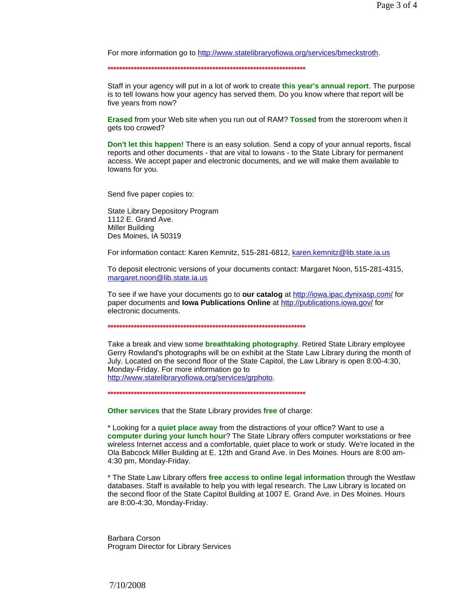For more information go to http://www.statelibraryofiowa.org/services/bmeckstroth.

**\*\*\*\*\*\*\*\*\*\*\*\*\*\*\*\*\*\*\*\*\*\*\*\*\*\*\*\*\*\*\*\*\*\*\*\*\*\*\*\*\*\*\*\*\*\*\*\*\*\*\*\*\*\*\*\*\*\*\*\*\*\*\*\*\*\*\*\***

Staff in your agency will put in a lot of work to create **this year's annual report**. The purpose is to tell Iowans how your agency has served them. Do you know where that report will be five years from now?

**Erased** from your Web site when you run out of RAM? **Tossed** from the storeroom when it gets too crowed?

**Don't let this happen!** There is an easy solution. Send a copy of your annual reports, fiscal reports and other documents - that are vital to Iowans - to the State Library for permanent access. We accept paper and electronic documents, and we will make them available to Iowans for you.

Send five paper copies to:

State Library Depository Program 1112 E. Grand Ave. Miller Building Des Moines, IA 50319

For information contact: Karen Kemnitz, 515-281-6812, karen.kemnitz@lib.state.ia.us

To deposit electronic versions of your documents contact: Margaret Noon, 515-281-4315, margaret.noon@lib.state.ia.us

To see if we have your documents go to **our catalog** at http://iowa.ipac.dynixasp.com/ for paper documents and **Iowa Publications Online** at http://publications.iowa.gov/ for electronic documents.

**\*\*\*\*\*\*\*\*\*\*\*\*\*\*\*\*\*\*\*\*\*\*\*\*\*\*\*\*\*\*\*\*\*\*\*\*\*\*\*\*\*\*\*\*\*\*\*\*\*\*\*\*\*\*\*\*\*\*\*\*\*\*\*\*\*\*\*\***

Take a break and view some **breathtaking photography**. Retired State Library employee Gerry Rowland's photographs will be on exhibit at the State Law Library during the month of July. Located on the second floor of the State Capitol, the Law Library is open 8:00-4:30, Monday-Friday. For more information go to http://www.statelibraryofiowa.org/services/grphoto.

**\*\*\*\*\*\*\*\*\*\*\*\*\*\*\*\*\*\*\*\*\*\*\*\*\*\*\*\*\*\*\*\*\*\*\*\*\*\*\*\*\*\*\*\*\*\*\*\*\*\*\*\*\*\*\*\*\*\*\*\*\*\*\*\*\*\*\*\***

**Other services** that the State Library provides **free** of charge:

\* Looking for a **quiet place away** from the distractions of your office? Want to use a **computer during your lunch hour**? The State Library offers computer workstations or free wireless Internet access and a comfortable, quiet place to work or study. We're located in the Ola Babcock Miller Building at E. 12th and Grand Ave. in Des Moines. Hours are 8:00 am-4:30 pm, Monday-Friday.

\* The State Law Library offers **free access to online legal information** through the Westlaw databases. Staff is available to help you with legal research. The Law Library is located on the second floor of the State Capitol Building at 1007 E. Grand Ave. in Des Moines. Hours are 8:00-4:30, Monday-Friday.

Barbara Corson Program Director for Library Services

7/10/2008